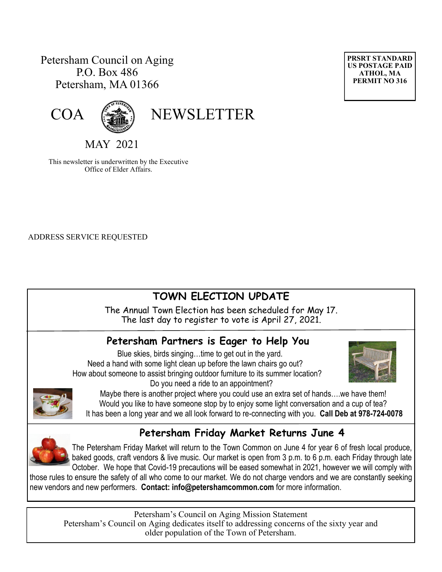# Petersham Council on Aging P.O. Box 486 Petersham, MA 01366





# COA (

MAY 2021

This newsletter is underwritten by the Executive Office of Elder Affairs.

ADDRESS SERVICE REQUESTED

# **TOWN ELECTION UPDATE**

The Annual Town Election has been scheduled for May 17. The last day to register to vote is April 27, 2021.

# **Petersham Partners is Eager to Help You**

 Blue skies, birds singing…time to get out in the yard. Need a hand with some light clean up before the lawn chairs go out? How about someone to assist bringing outdoor furniture to its summer location? Do you need a ride to an appointment?





Maybe there is another project where you could use an extra set of hands….we have them! Would you like to have someone stop by to enjoy some light conversation and a cup of tea? It has been a long year and we all look forward to re-connecting with you. **Call Deb at 978-724-0078**

# **Petersham Friday Market Returns June 4**

The Petersham Friday Market will return to the Town Common on June 4 for year 6 of fresh local produce, baked goods, craft vendors & live music. Our market is open from 3 p.m. to 6 p.m. each Friday through late October. We hope that Covid-19 precautions will be eased somewhat in 2021, however we will comply with

those rules to ensure the safety of all who come to our market. We do not charge vendors and we are constantly seeking new vendors and new performers. **Contact: [info@petershamcommon.com](mailto:info@petershamcommon.com)** for more information.

Petersham's Council on Aging Mission Statement Petersham's Council on Aging dedicates itself to addressing concerns of the sixty year and older population of the Town of Petersham.

**PRSRT STANDARD US POSTAGE PAID ATHOL, MA PERMIT NO 316**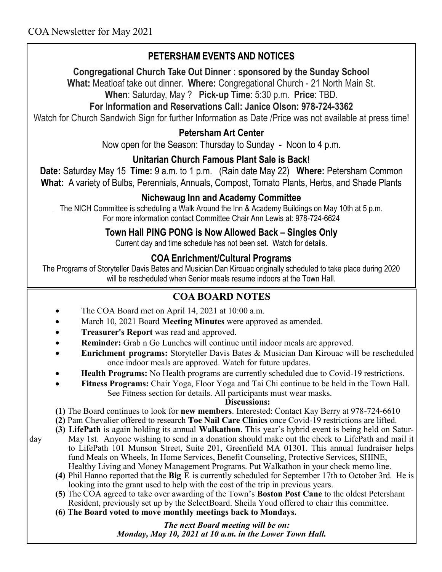# **PETERSHAM EVENTS AND NOTICES**

#### **Congregational Church Take Out Dinner : sponsored by the Sunday School**

**What:** Meatloaf take out dinner. **Where:** Congregational Church - 21 North Main St.

# **When**: Saturday, May ? **Pick-up Time**: 5:30 p.m. **Price**: TBD.

# **For Information and Reservations Call: Janice Olson: 978-724-3362**

Watch for Church Sandwich Sign for further Information as Date /Price was not available at press time!

#### **Petersham Art Center**

Now open for the Season: Thursday to Sunday - Noon to 4 p.m.

# **Unitarian Church Famous Plant Sale is Back!**

**Date:** Saturday May 15 **Time:** 9 a.m. to 1 p.m. (Rain date May 22) **Where:** Petersham Common **What:** A variety of Bulbs, Perennials, Annuals, Compost, Tomato Plants, Herbs, and Shade Plants

# **Nichewaug Inn and Academy Committee**

The NICH Committee is scheduling a Walk Around the Inn & Academy Buildings on May 10th at 5 p.m. For more information contact Committee Chair Ann Lewis at: 978-724-6624

#### **Town Hall PING PONG is Now Allowed Back – Singles Only**

Current day and time schedule has not been set. Watch for details.

# **COA Enrichment/Cultural Programs**

The Programs of Storyteller Davis Bates and Musician Dan Kirouac originally scheduled to take place during 2020 will be rescheduled when Senior meals resume indoors at the Town Hall.

# **COA BOARD NOTES**

- The COA Board met on April 14, 2021 at 10:00 a.m.
- March 10, 2021 Board **Meeting Minutes** were approved as amended.
- **Treasurer's Report** was read and approved.
- **Reminder:** Grab n Go Lunches will continue until indoor meals are approved.
- **Enrichment programs:** Storyteller Davis Bates & Musician Dan Kirouac will be rescheduled once indoor meals are approved. Watch for future updates.
- **Health Programs:** No Health programs are currently scheduled due to Covid-19 restrictions.
- **Fitness Programs:** Chair Yoga, Floor Yoga and Tai Chi continue to be held in the Town Hall. See Fitness section for details. All participants must wear masks.

#### **Discussions:**

**(1)** The Board continues to look for **new members**. Interested: Contact Kay Berry at 978-724-6610

**(2)** Pam Chevalier offered to research **Toe Nail Care Clinics** once Covid-19 restrictions are lifted.

- **(3) LifePath** is again holding its annual **Walkathon**. This year's hybrid event is being held on Saturday May 1st. Anyone wishing to send in a donation should make out the check to LifePath and mail it to LifePath 101 Munson Street, Suite 201, Greenfield MA 01301. This annual fundraiser helps fund Meals on Wheels, In Home Services, Benefit Counseling, Protective Services, SHINE,
	- Healthy Living and Money Management Programs. Put Walkathon in your check memo line. **(4)** Phil Hanno reported that the **Big E** is currently scheduled for September 17th to October 3rd. He is
		- looking into the grant used to help with the cost of the trip in previous years.
	- **(5)** The COA agreed to take over awarding of the Town's **Boston Post Cane** to the oldest Petersham Resident, previously set up by the SelectBoard. Sheila Youd offered to chair this committee.
	- **(6) The Board voted to move monthly meetings back to Mondays.**

 *The next Board meeting will be on: Monday, May 10, 2021 at 10 a.m. in the Lower Town Hall.*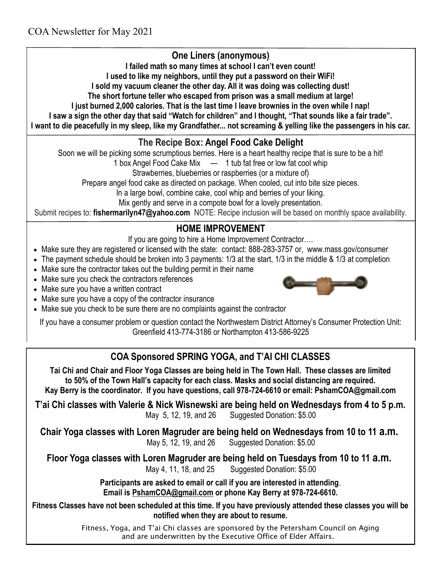# **One Liners (anonymous)**

**I failed math so many times at school I can't even count!**

**I used to like my neighbors, until they put a password on their WiFi!**

**I sold my vacuum cleaner the other day. All it was doing was collecting dust!**

**The short fortune teller who escaped from prison was a small medium at large!**

**I just burned 2,000 calories. That is the last time I leave brownies in the oven while I nap!**

**I saw a sign the other day that said "Watch for children" and I thought, "That sounds like a fair trade".**

**I want to die peacefully in my sleep, like my Grandfather... not screaming & yelling like the passengers in his car.** 

# **The Recipe Box: Angel Food Cake Delight**

Soon we will be picking some scrumptious berries. Here is a heart healthy recipe that is sure to be a hit!

1 box Angel Food Cake Mix  $\quad - \quad 1$  tub fat free or low fat cool whip

Strawberries, blueberries or raspberries (or a mixture of)

Prepare angel food cake as directed on package. When cooled, cut into bite size pieces.

In a large bowl, combine cake, cool whip and berries of your liking.

Mix gently and serve in a compote bowl for a lovely presentation.

Submit recipes to: **[fishermarilyn47@yahoo.com](mailto:fishermarilyn47@yahoo.com)** NOTE: Recipe inclusion will be based on monthly space availability.

# **HOME IMPROVEMENT**

If you are going to hire a Home Improvement Contractor….

- Make sure they are registered or licensed with the state: contact: 888-283-3757 or, www.mass.gov/consumer
- The payment schedule should be broken into 3 payments: 1/3 at the start, 1/3 in the middle & 1/3 at completion
- Make sure the contractor takes out the building permit in their name
- Make sure you check the contractors references
- Make sure you have a written contract



Make sue you check to be sure there are no complaints against the contractor

If you have a consumer problem or question contact the Northwestern District Attorney's Consumer Protection Unit: Greenfield 413-774-3186 or Northampton 413-586-9225

# **COA Sponsored SPRING YOGA, and T'AI CHI CLASSES**

**Tai Chi and Chair and Floor Yoga Classes are being held in The Town Hall. These classes are limited to 50% of the Town Hall's capacity for each class. Masks and social distancing are required. Kay Berry is the coordinator. If you have questions, call 978-724-6610 or email: PshamCOA@gmail.com**

**T'ai Chi classes with Valerie & Nick Wisnewski are being held on Wednesdays from 4 to 5 p.m.**  May 5, 12, 19, and 26 Suggested Donation: \$5.00

**Chair Yoga classes with Loren Magruder are being held on Wednesdays from 10 to 11 a.m.** May 5, 12, 19, and 26 Suggested Donation: \$5.00

**Floor Yoga classes with Loren Magruder are being held on Tuesdays from 10 to 11 a.m.** May 4, 11, 18, and 25 Suggested Donation: \$5.00

**Participants are asked to email or call if you are interested in attending**. **Email is [PshamCOA@gmail.com](mailto:PshamCOA@gmail.com) or phone Kay Berry at 978-724-6610.** 

**Fitness Classes have not been scheduled at this time. If you have previously attended these classes you will be notified when they are about to resume.**

> Fitness, Yoga, and T'ai Chi classes are sponsored by the Petersham Council on Aging and are underwritten by the Executive Office of Elder Affairs.